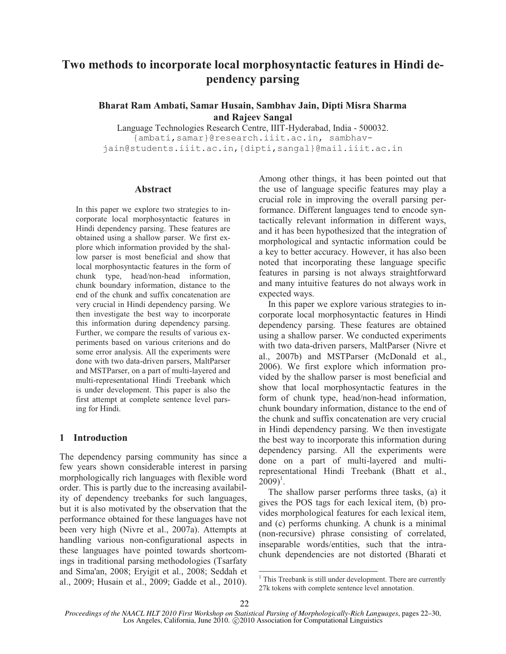# **Two methods to incorporate local morphosyntactic features in Hindi dependency parsing**

**Bharat Ram Ambati, Samar Husain, Sambhav Jain, Dipti Misra Sharma and Rajeev Sangal** 

Language Technologies Research Centre, IIIT-Hyderabad, India - 500032. {ambati,samar}@research.iiit.ac.in, sambhavjain@students.iiit.ac.in,{dipti,sangal}@mail.iiit.ac.in

#### **Abstract**

In this paper we explore two strategies to incorporate local morphosyntactic features in Hindi dependency parsing. These features are obtained using a shallow parser. We first explore which information provided by the shallow parser is most beneficial and show that local morphosyntactic features in the form of chunk type, head/non-head information, chunk boundary information, distance to the end of the chunk and suffix concatenation are very crucial in Hindi dependency parsing. We then investigate the best way to incorporate this information during dependency parsing. Further, we compare the results of various experiments based on various criterions and do some error analysis. All the experiments were done with two data-driven parsers, MaltParser and MSTParser, on a part of multi-layered and multi-representational Hindi Treebank which is under development. This paper is also the first attempt at complete sentence level parsing for Hindi.

## **1 Introduction**

The dependency parsing community has since a few years shown considerable interest in parsing morphologically rich languages with flexible word order. This is partly due to the increasing availability of dependency treebanks for such languages, but it is also motivated by the observation that the performance obtained for these languages have not been very high (Nivre et al., 2007a). Attempts at handling various non-configurational aspects in these languages have pointed towards shortcomings in traditional parsing methodologies (Tsarfaty and Sima'an, 2008; Eryigit et al., 2008; Seddah et al., 2009; Husain et al., 2009; Gadde et al., 2010).

Among other things, it has been pointed out that the use of language specific features may play a crucial role in improving the overall parsing performance. Different languages tend to encode syntactically relevant information in different ways, and it has been hypothesized that the integration of morphological and syntactic information could be a key to better accuracy. However, it has also been noted that incorporating these language specific features in parsing is not always straightforward and many intuitive features do not always work in expected ways.

In this paper we explore various strategies to incorporate local morphosyntactic features in Hindi dependency parsing. These features are obtained using a shallow parser. We conducted experiments with two data-driven parsers, MaltParser (Nivre et al., 2007b) and MSTParser (McDonald et al., 2006). We first explore which information provided by the shallow parser is most beneficial and show that local morphosyntactic features in the form of chunk type, head/non-head information, chunk boundary information, distance to the end of the chunk and suffix concatenation are very crucial in Hindi dependency parsing. We then investigate the best way to incorporate this information during dependency parsing. All the experiments were done on a part of multi-layered and multirepresentational Hindi Treebank (Bhatt et al.,  $2009)^{1}$ .

The shallow parser performs three tasks, (a) it gives the POS tags for each lexical item, (b) provides morphological features for each lexical item, and (c) performs chunking. A chunk is a minimal (non-recursive) phrase consisting of correlated, inseparable words/entities, such that the intrachunk dependencies are not distorted (Bharati et

<sup>&</sup>lt;sup>1</sup> This Treebank is still under development. There are currently 27k tokens with complete sentence level annotation.

*Proceedings of the NAACL HLT 2010 First Workshop on Statistical Parsing of Morphologically-Rich Languages*, pages 22–30, Los Angeles, California, June 2010. ©2010 Association for Computational Linguistics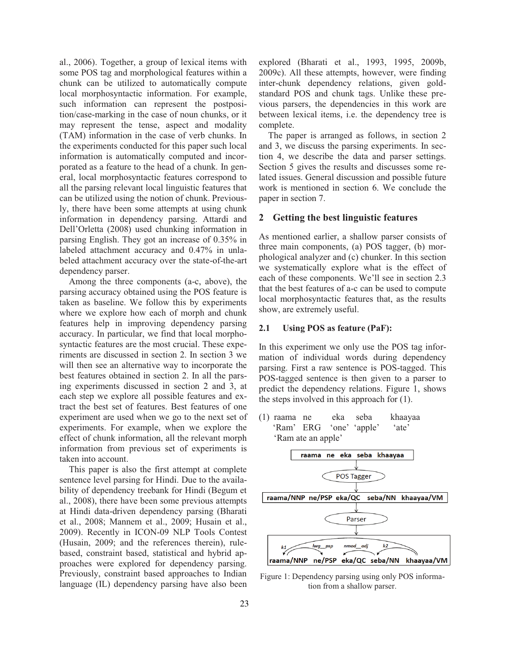al., 2006). Together, a group of lexical items with some POS tag and morphological features within a chunk can be utilized to automatically compute local morphosyntactic information. For example, such information can represent the postposition/case-marking in the case of noun chunks, or it may represent the tense, aspect and modality (TAM) information in the case of verb chunks. In the experiments conducted for this paper such local information is automatically computed and incorporated as a feature to the head of a chunk. In general, local morphosyntactic features correspond to all the parsing relevant local linguistic features that can be utilized using the notion of chunk. Previously, there have been some attempts at using chunk information in dependency parsing. Attardi and Dell'Orletta (2008) used chunking information in parsing English. They got an increase of 0.35% in labeled attachment accuracy and 0.47% in unlabeled attachment accuracy over the state-of-the-art dependency parser.

Among the three components (a-c, above), the parsing accuracy obtained using the POS feature is taken as baseline. We follow this by experiments where we explore how each of morph and chunk features help in improving dependency parsing accuracy. In particular, we find that local morphosyntactic features are the most crucial. These experiments are discussed in section 2. In section 3 we will then see an alternative way to incorporate the best features obtained in section 2. In all the parsing experiments discussed in section 2 and 3, at each step we explore all possible features and extract the best set of features. Best features of one experiment are used when we go to the next set of experiments. For example, when we explore the effect of chunk information, all the relevant morph information from previous set of experiments is taken into account.

This paper is also the first attempt at complete sentence level parsing for Hindi. Due to the availability of dependency treebank for Hindi (Begum et al., 2008), there have been some previous attempts at Hindi data-driven dependency parsing (Bharati et al., 2008; Mannem et al., 2009; Husain et al., 2009). Recently in ICON-09 NLP Tools Contest (Husain, 2009; and the references therein), rulebased, constraint based, statistical and hybrid approaches were explored for dependency parsing. Previously, constraint based approaches to Indian language (IL) dependency parsing have also been

explored (Bharati et al., 1993, 1995, 2009b, 2009c). All these attempts, however, were finding inter-chunk dependency relations, given goldstandard POS and chunk tags. Unlike these previous parsers, the dependencies in this work are between lexical items, i.e. the dependency tree is complete.

The paper is arranged as follows, in section 2 and 3, we discuss the parsing experiments. In section 4, we describe the data and parser settings. Section 5 gives the results and discusses some related issues. General discussion and possible future work is mentioned in section 6. We conclude the paper in section 7.

### **2 Getting the best linguistic features**

As mentioned earlier, a shallow parser consists of three main components, (a) POS tagger, (b) morphological analyzer and (c) chunker. In this section we systematically explore what is the effect of each of these components. We'll see in section 2.3 that the best features of a-c can be used to compute local morphosyntactic features that, as the results show, are extremely useful.

#### **2.1 Using POS as feature (PaF):**

In this experiment we only use the POS tag information of individual words during dependency parsing. First a raw sentence is POS-tagged. This POS-tagged sentence is then given to a parser to predict the dependency relations. Figure 1, shows the steps involved in this approach for (1).

(1) raama ne eka seba khaayaa 'Ram' ERG 'one' 'apple' 'ate' 'Ram ate an apple'



Figure 1: Dependency parsing using only POS information from a shallow parser.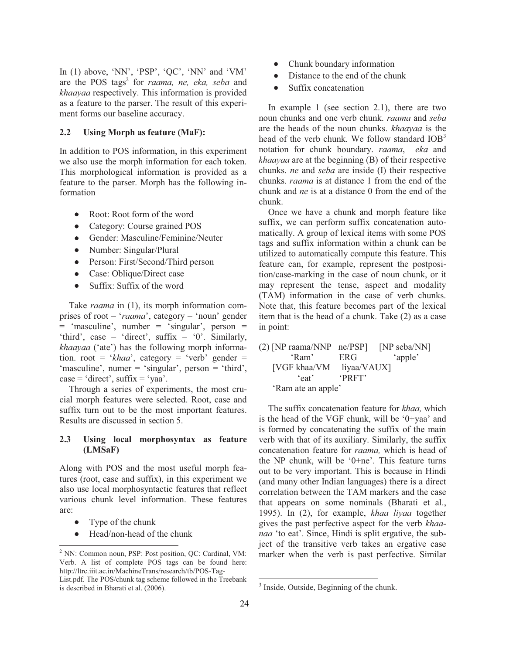In (1) above, 'NN', 'PSP', 'QC', 'NN' and 'VM' are the POS tags<sup>2</sup> for *raama, ne, eka, seba* and *khaayaa* respectively. This information is provided as a feature to the parser. The result of this experiment forms our baseline accuracy.

#### **2.2 Using Morph as feature (MaF):**

In addition to POS information, in this experiment we also use the morph information for each token. This morphological information is provided as a feature to the parser. Morph has the following information

- Root: Root form of the word
- Category: Course grained POS
- · Gender: Masculine/Feminine/Neuter
- Number: Singular/Plural
- Person: First/Second/Third person
- Case: Oblique/Direct case
- Suffix: Suffix of the word

Take *raama* in (1), its morph information comprises of root = '*raama*', category = 'noun' gender = 'masculine', number = 'singular', person = 'third', case = 'direct', suffix = '0'. Similarly, *khaayaa* ('ate') has the following morph information. root = '*khaa*', category = 'verb' gender = 'masculine', numer = 'singular', person = 'third',  $case = 'direct', suffix = 'yaa'.$ 

Through a series of experiments, the most crucial morph features were selected. Root, case and suffix turn out to be the most important features. Results are discussed in section 5.

## **2.3 Using local morphosyntax as feature (LMSaF)**

Along with POS and the most useful morph features (root, case and suffix), in this experiment we also use local morphosyntactic features that reflect various chunk level information. These features are:

Type of the chunk

 $\overline{a}$ 

Head/non-head of the chunk

- Chunk boundary information
- Distance to the end of the chunk
- Suffix concatenation

In example 1 (see section 2.1), there are two noun chunks and one verb chunk. *raama* and *seba* are the heads of the noun chunks. *khaayaa* is the head of the verb chunk. We follow standard  $IOB<sup>3</sup>$ notation for chunk boundary. *raama*, *eka* and *khaayaa* are at the beginning (B) of their respective chunks. *ne* and *seba* are inside (I) their respective chunks. *raama* is at distance 1 from the end of the chunk and *ne* is at a distance 0 from the end of the chunk.

Once we have a chunk and morph feature like suffix, we can perform suffix concatenation automatically. A group of lexical items with some POS tags and suffix information within a chunk can be utilized to automatically compute this feature. This feature can, for example, represent the postposition/case-marking in the case of noun chunk, or it may represent the tense, aspect and modality (TAM) information in the case of verb chunks. Note that, this feature becomes part of the lexical item that is the head of a chunk. Take (2) as a case in point:

(2) [NP raama/NNP ne/PSP] [NP seba/NN] 'Ram' ERG 'apple' [VGF khaa/VM liyaa/VAUX] 'eat' 'PRFT' 'Ram ate an apple'

The suffix concatenation feature for *khaa,* which is the head of the VGF chunk, will be '0+yaa' and is formed by concatenating the suffix of the main verb with that of its auxiliary. Similarly, the suffix concatenation feature for *raama,* which is head of the NP chunk, will be '0+ne'. This feature turns out to be very important. This is because in Hindi (and many other Indian languages) there is a direct correlation between the TAM markers and the case that appears on some nominals (Bharati et al., 1995). In (2), for example, *khaa liyaa* together gives the past perfective aspect for the verb *khaanaa* 'to eat'. Since, Hindi is split ergative, the subject of the transitive verb takes an ergative case marker when the verb is past perfective. Similar

 $\overline{a}$ 

<sup>&</sup>lt;sup>2</sup> NN: Common noun, PSP: Post position, QC: Cardinal, VM: Verb. A list of complete POS tags can be found here: http://ltrc.iiit.ac.in/MachineTrans/research/tb/POS-Tag-

List.pdf. The POS/chunk tag scheme followed in the Treebank is described in Bharati et al. (2006).

<sup>&</sup>lt;sup>3</sup> Inside, Outside, Beginning of the chunk.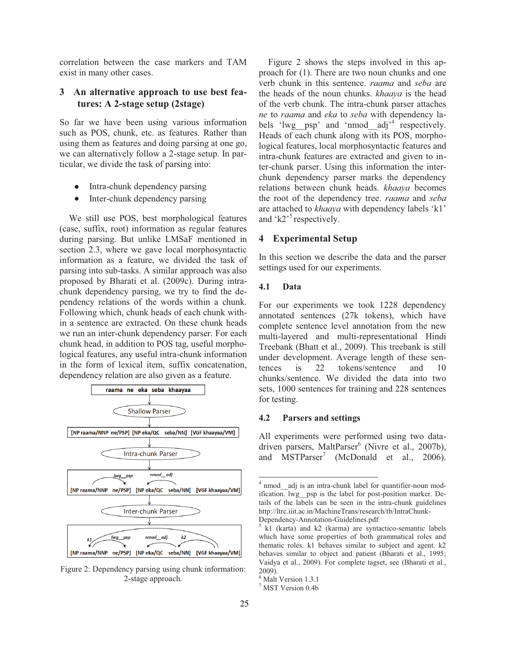correlation between the case markers and TAM exist in many other cases.

## **3 An alternative approach to use best features: A 2-stage setup (2stage)**

So far we have been using various information such as POS, chunk, etc. as features. Rather than using them as features and doing parsing at one go, we can alternatively follow a 2-stage setup. In particular, we divide the task of parsing into:

- Intra-chunk dependency parsing
- Inter-chunk dependency parsing

We still use POS, best morphological features (case, suffix, root) information as regular features during parsing. But unlike LMSaF mentioned in section 2.3, where we gave local morphosyntactic information as a feature, we divided the task of parsing into sub-tasks. A similar approach was also proposed by Bharati et al. (2009c). During intrachunk dependency parsing, we try to find the dependency relations of the words within a chunk. Following which, chunk heads of each chunk within a sentence are extracted. On these chunk heads we run an inter-chunk dependency parser. For each chunk head, in addition to POS tag, useful morphological features, any useful intra-chunk information in the form of lexical item, suffix concatenation, dependency relation are also given as a feature.



Figure 2: Dependency parsing using chunk information: 2-stage approach.

Figure 2 shows the steps involved in this approach for (1). There are two noun chunks and one verb chunk in this sentence. *raama* and *seba* are the heads of the noun chunks. *khaaya* is the head of the verb chunk. The intra-chunk parser attaches *ne* to *raama* and *eka* to *seba* with dependency labels 'lwg\_psp' and 'nmod\_adj<sup>'4</sup> respectively. Heads of each chunk along with its POS, morphological features, local morphosyntactic features and intra-chunk features are extracted and given to inter-chunk parser. Using this information the interchunk dependency parser marks the dependency relations between chunk heads. *khaaya* becomes the root of the dependency tree. *raama* and *seba* are attached to *khaaya* with dependency labels 'k1' and  $k2$ <sup>5</sup> respectively.

## **4 Experimental Setup**

In this section we describe the data and the parser settings used for our experiments.

#### **4.1 Data**

For our experiments we took 1228 dependency annotated sentences (27k tokens), which have complete sentence level annotation from the new multi-layered and multi-representational Hindi Treebank (Bhatt et al., 2009). This treebank is still under development. Average length of these sentences is 22 tokens/sentence and 10 chunks/sentence. We divided the data into two sets, 1000 sentences for training and 228 sentences for testing.

#### **4.2 Parsers and settings**

All experiments were performed using two datadriven parsers, MaltParser<sup>6</sup> (Nivre et al., 2007b), and MSTParser<sup>7</sup> (McDonald et al., 2006).

 $\overline{a}$ 

<sup>&</sup>lt;sup>4</sup> nmod\_adj is an intra-chunk label for quantifier-noun modification. lwg\_\_psp is the label for post-position marker. Details of the labels can be seen in the intra-chunk guidelines http://ltrc.iiit.ac.in/MachineTrans/research/tb/IntraChunk-

Dependency-Annotation-Guidelines.pdf

<sup>&</sup>lt;sup>5</sup> k1 (karta) and k2 (karma) are syntactico-semantic labels which have some properties of both grammatical roles and thematic roles. k1 behaves similar to subject and agent. k2 behaves similar to object and patient (Bharati et al., 1995; Vaidya et al., 2009). For complete tagset, see (Bharati et al., 2009).

<sup>6</sup> Malt Version 1.3.1

<sup>7</sup> MST Version 0.4b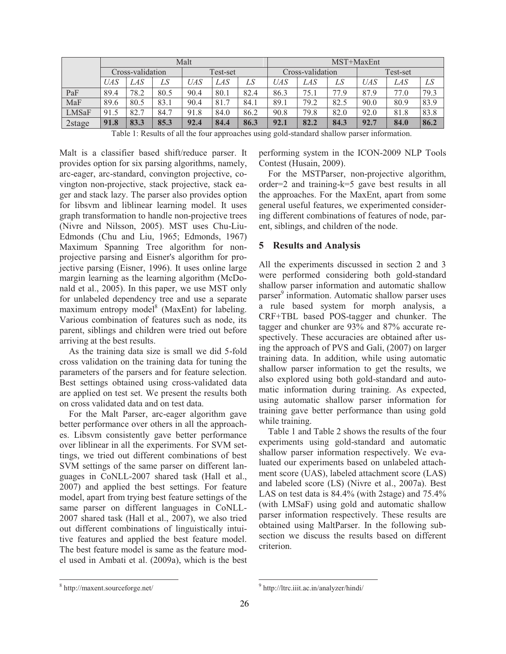|        |                  |      |      | Malt       |                       |      | MST+MaxEnt       |      |      |            |      |      |
|--------|------------------|------|------|------------|-----------------------|------|------------------|------|------|------------|------|------|
|        | Cross-validation |      |      | Test-set   |                       |      | Cross-validation |      |      | Test-set   |      |      |
|        | UAS              | LAS  | LS   | <b>UAS</b> | LAS                   | LS   | UAS              | LAS  | LS   | <b>UAS</b> | LAS  | LS   |
| PaF    | 89.4             | 78.2 | 80.5 | 90.4       | 80.1                  | 82.4 | 86.3             | 75.1 | 77.9 | 87.9       | 77.0 | 79.3 |
| MaF    | 89.6             | 80.5 | 83.1 | 90.4       | 81.7<br>$\mathcal{L}$ | 84.1 | 89.1             | 79.2 | 82.5 | 90.0       | 80.9 | 83.9 |
| LMSaF  | 91.5             | 82.7 | 84.7 | 91.8       | 84.0                  | 86.2 | 90.8             | 79.8 | 82.0 | 92.0       | 81.8 | 83.8 |
| 2stage | 91.8             | 83.3 | 85.3 | 92.4       | 84.4                  | 86.3 | 92.1             | 82.2 | 84.3 | 92.7       | 84.0 | 86.2 |

Table 1: Results of all the four approaches using gold-standard shallow parser information.

Malt is a classifier based shift/reduce parser. It provides option for six parsing algorithms, namely, arc-eager, arc-standard, convington projective, covington non-projective, stack projective, stack eager and stack lazy. The parser also provides option for libsvm and liblinear learning model. It uses graph transformation to handle non-projective trees (Nivre and Nilsson, 2005). MST uses Chu-Liu-Edmonds (Chu and Liu, 1965; Edmonds, 1967) Maximum Spanning Tree algorithm for nonprojective parsing and Eisner's algorithm for projective parsing (Eisner, 1996). It uses online large margin learning as the learning algorithm (McDonald et al., 2005). In this paper, we use MST only for unlabeled dependency tree and use a separate maximum entropy model<sup>8</sup> (MaxEnt) for labeling. Various combination of features such as node, its parent, siblings and children were tried out before arriving at the best results.

As the training data size is small we did 5-fold cross validation on the training data for tuning the parameters of the parsers and for feature selection. Best settings obtained using cross-validated data are applied on test set. We present the results both on cross validated data and on test data.

For the Malt Parser, arc-eager algorithm gave better performance over others in all the approaches. Libsvm consistently gave better performance over liblinear in all the experiments. For SVM settings, we tried out different combinations of best SVM settings of the same parser on different languages in CoNLL-2007 shared task (Hall et al., 2007) and applied the best settings. For feature model, apart from trying best feature settings of the same parser on different languages in CoNLL-2007 shared task (Hall et al., 2007), we also tried out different combinations of linguistically intuitive features and applied the best feature model. The best feature model is same as the feature model used in Ambati et al. (2009a), which is the best

performing system in the ICON-2009 NLP Tools Contest (Husain, 2009).

For the MSTParser, non-projective algorithm, order=2 and training-k=5 gave best results in all the approaches. For the MaxEnt, apart from some general useful features, we experimented considering different combinations of features of node, parent, siblings, and children of the node.

## **5 Results and Analysis**

All the experiments discussed in section 2 and 3 were performed considering both gold-standard shallow parser information and automatic shallow parser<sup>9</sup> information. Automatic shallow parser uses a rule based system for morph analysis, a CRF+TBL based POS-tagger and chunker. The tagger and chunker are 93% and 87% accurate respectively. These accuracies are obtained after using the approach of PVS and Gali, (2007) on larger training data. In addition, while using automatic shallow parser information to get the results, we also explored using both gold-standard and automatic information during training. As expected, using automatic shallow parser information for training gave better performance than using gold while training.

Table 1 and Table 2 shows the results of the four experiments using gold-standard and automatic shallow parser information respectively. We evaluated our experiments based on unlabeled attachment score (UAS), labeled attachment score (LAS) and labeled score (LS) (Nivre et al., 2007a). Best LAS on test data is 84.4% (with 2stage) and 75.4% (with LMSaF) using gold and automatic shallow parser information respectively. These results are obtained using MaltParser. In the following subsection we discuss the results based on different criterion.

 8 http://maxent.sourceforge.net/

 9 http://ltrc.iiit.ac.in/analyzer/hindi/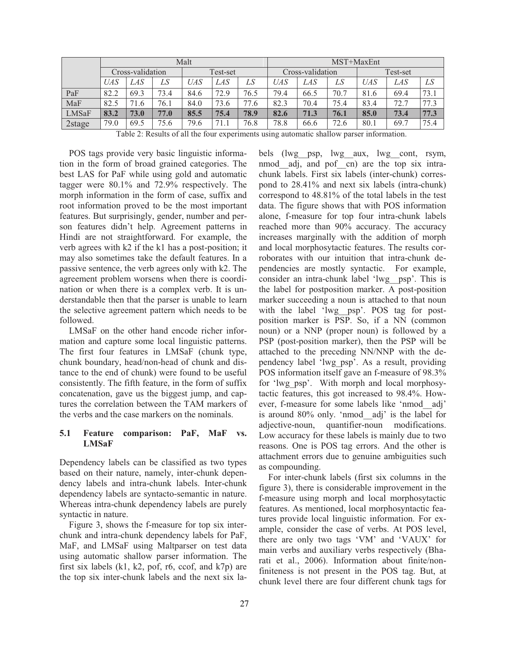|              |                  |      |      | Malt     |           |      | MST+MaxEnt       |      |      |          |      |      |
|--------------|------------------|------|------|----------|-----------|------|------------------|------|------|----------|------|------|
|              | Cross-validation |      |      | Test-set |           |      | Cross-validation |      |      | Test-set |      |      |
|              | UAS              | LAS  | LS   | UAS      | LAS       | LS   | UAS              | LAS  | LS   | UAS      | LAS  | LS   |
| PaF          | 82.2             | 69.3 | 73.4 | 84.6     | 72.9      | 76.5 | 79.4             | 66.5 | 70.7 | 81.6     | 69.4 | 73.1 |
| MaF          | 82.5             | 71.6 | 76.1 | 84.0     | 73.6      | 77.6 | 82.3             | 70.4 | 75.4 | 83.4     | 72.7 | 77.3 |
| <b>LMSaF</b> | 83.2             | 73.0 | 77.0 | 85.5     | 75.4      | 78.9 | 82.6             | 71.3 | 76.1 | 85.0     | 73.4 | 77.3 |
| 2stage       | 79.0             | 69.5 | 75.6 | 79.6     | $71_{.1}$ | 76.8 | 78.8             | 66.6 | 72.6 | 80.1     | 69.7 | 75.4 |

Table 2: Results of all the four experiments using automatic shallow parser information.

POS tags provide very basic linguistic information in the form of broad grained categories. The best LAS for PaF while using gold and automatic tagger were 80.1% and 72.9% respectively. The morph information in the form of case, suffix and root information proved to be the most important features. But surprisingly, gender, number and person features didn't help. Agreement patterns in Hindi are not straightforward. For example, the verb agrees with k2 if the k1 has a post-position; it may also sometimes take the default features. In a passive sentence, the verb agrees only with k2. The agreement problem worsens when there is coordination or when there is a complex verb. It is understandable then that the parser is unable to learn the selective agreement pattern which needs to be followed.

LMSaF on the other hand encode richer information and capture some local linguistic patterns. The first four features in LMSaF (chunk type, chunk boundary, head/non-head of chunk and distance to the end of chunk) were found to be useful consistently. The fifth feature, in the form of suffix concatenation, gave us the biggest jump, and captures the correlation between the TAM markers of the verbs and the case markers on the nominals.

#### **5.1 Feature comparison: PaF, MaF vs. LMSaF**

Dependency labels can be classified as two types based on their nature, namely, inter-chunk dependency labels and intra-chunk labels. Inter-chunk dependency labels are syntacto-semantic in nature. Whereas intra-chunk dependency labels are purely syntactic in nature.

Figure 3, shows the f-measure for top six interchunk and intra-chunk dependency labels for PaF, MaF, and LMSaF using Maltparser on test data using automatic shallow parser information. The first six labels (k1, k2, pof, r6, ccof, and  $k7p$ ) are the top six inter-chunk labels and the next six la-

bels (lwg\_\_psp, lwg\_\_aux, lwg\_\_cont, rsym, nmod adj, and pof cn) are the top six intrachunk labels. First six labels (inter-chunk) correspond to 28.41% and next six labels (intra-chunk) correspond to 48.81% of the total labels in the test data. The figure shows that with POS information alone, f-measure for top four intra-chunk labels reached more than 90% accuracy. The accuracy increases marginally with the addition of morph and local morphosytactic features. The results corroborates with our intuition that intra-chunk dependencies are mostly syntactic. For example, consider an intra-chunk label 'lwg\_\_psp'. This is the label for postposition marker. A post-position marker succeeding a noun is attached to that noun with the label 'lwg psp'. POS tag for postposition marker is PSP. So, if a NN (common noun) or a NNP (proper noun) is followed by a PSP (post-position marker), then the PSP will be attached to the preceding NN/NNP with the dependency label 'lwg\_psp'. As a result, providing POS information itself gave an f-measure of 98.3% for 'lwg\_psp'. With morph and local morphosytactic features, this got increased to 98.4%. However, f-measure for some labels like 'nmod\_\_adj' is around 80% only. 'nmod\_\_adj' is the label for adjective-noun, quantifier-noun modifications. Low accuracy for these labels is mainly due to two reasons. One is POS tag errors. And the other is attachment errors due to genuine ambiguities such as compounding.

For inter-chunk labels (first six columns in the figure 3), there is considerable improvement in the f-measure using morph and local morphosytactic features. As mentioned, local morphosyntactic features provide local linguistic information. For example, consider the case of verbs. At POS level, there are only two tags 'VM' and 'VAUX' for main verbs and auxiliary verbs respectively (Bharati et al., 2006). Information about finite/nonfiniteness is not present in the POS tag. But, at chunk level there are four different chunk tags for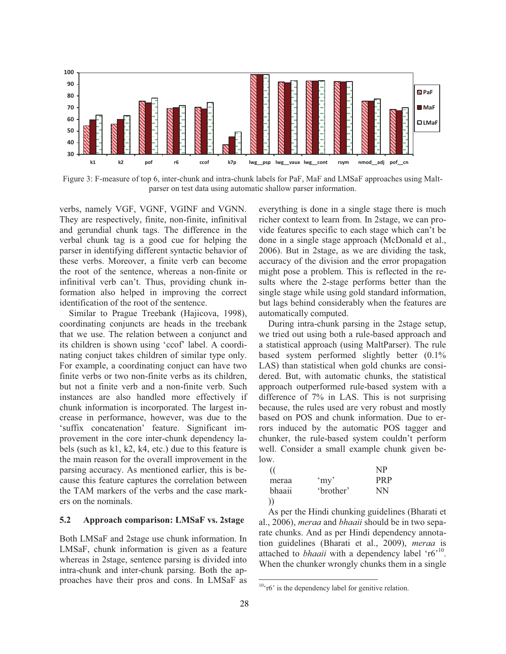

Figure 3: F-measure of top 6, inter-chunk and intra-chunk labels for PaF, MaF and LMSaF approaches using Maltparser on test data using automatic shallow parser information.

verbs, namely VGF, VGNF, VGINF and VGNN. They are respectively, finite, non-finite, infinitival and gerundial chunk tags. The difference in the verbal chunk tag is a good cue for helping the parser in identifying different syntactic behavior of these verbs. Moreover, a finite verb can become the root of the sentence, whereas a non-finite or infinitival verb can't. Thus, providing chunk information also helped in improving the correct identification of the root of the sentence.

Similar to Prague Treebank (Hajicova, 1998), coordinating conjuncts are heads in the treebank that we use. The relation between a conjunct and its children is shown using 'ccof' label. A coordinating conjuct takes children of similar type only. For example, a coordinating conjuct can have two finite verbs or two non-finite verbs as its children, but not a finite verb and a non-finite verb. Such instances are also handled more effectively if chunk information is incorporated. The largest increase in performance, however, was due to the 'suffix concatenation' feature. Significant improvement in the core inter-chunk dependency labels (such as k1, k2, k4, etc.) due to this feature is the main reason for the overall improvement in the parsing accuracy. As mentioned earlier, this is because this feature captures the correlation between the TAM markers of the verbs and the case markers on the nominals.

#### **5.2 Approach comparison: LMSaF vs. 2stage**

Both LMSaF and 2stage use chunk information. In LMSaF, chunk information is given as a feature whereas in 2stage, sentence parsing is divided into intra-chunk and inter-chunk parsing. Both the approaches have their pros and cons. In LMSaF as everything is done in a single stage there is much richer context to learn from. In 2stage, we can provide features specific to each stage which can't be done in a single stage approach (McDonald et al., 2006). But in 2stage, as we are dividing the task, accuracy of the division and the error propagation might pose a problem. This is reflected in the results where the 2-stage performs better than the single stage while using gold standard information, but lags behind considerably when the features are automatically computed.

During intra-chunk parsing in the 2stage setup, we tried out using both a rule-based approach and a statistical approach (using MaltParser). The rule based system performed slightly better (0.1% LAS) than statistical when gold chunks are considered. But, with automatic chunks, the statistical approach outperformed rule-based system with a difference of 7% in LAS. This is not surprising because, the rules used are very robust and mostly based on POS and chunk information. Due to errors induced by the automatic POS tagger and chunker, the rule-based system couldn't perform well. Consider a small example chunk given below.

|        |           | NP         |
|--------|-----------|------------|
| meraa  | 'my'      | <b>PRP</b> |
| bhaaii | 'brother' | ΝN         |
|        |           |            |

As per the Hindi chunking guidelines (Bharati et al., 2006), *meraa* and *bhaaii* should be in two separate chunks. And as per Hindi dependency annotation guidelines (Bharati et al., 2009), *meraa* is attached to *bhaaii* with a dependency label 'r6<sup>'10</sup>. When the chunker wrongly chunks them in a single

 $\overline{a}$ 

 $10<sup>10</sup>$ r6' is the dependency label for genitive relation.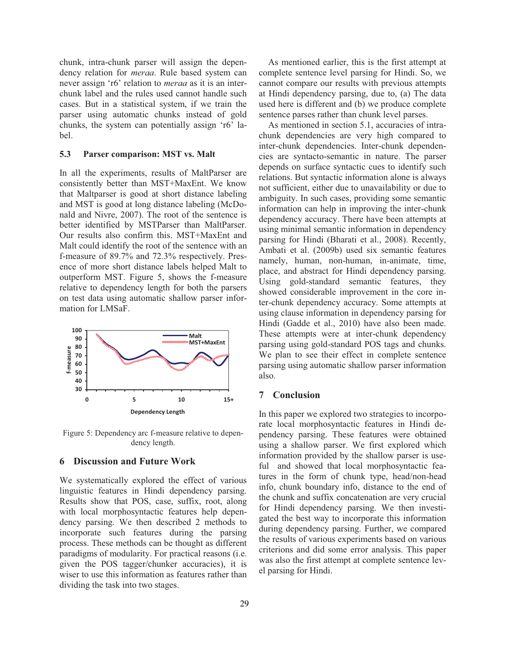chunk, intra-chunk parser will assign the dependency relation for *meraa*. Rule based system can never assign 'r6' relation to *meraa* as it is an interchunk label and the rules used cannot handle such cases. But in a statistical system, if we train the parser using automatic chunks instead of gold chunks, the system can potentially assign 'r6' label.

#### **5.3 Parser comparison: MST vs. Malt**

In all the experiments, results of MaltParser are consistently better than MST+MaxEnt. We know that Maltparser is good at short distance labeling and MST is good at long distance labeling (McDonald and Nivre, 2007). The root of the sentence is better identified by MSTParser than MaltParser. Our results also confirm this. MST+MaxEnt and Malt could identify the root of the sentence with an f-measure of 89.7% and 72.3% respectively. Presence of more short distance labels helped Malt to outperform MST. Figure 5, shows the f-measure relative to dependency length for both the parsers on test data using automatic shallow parser information for LMSaF.



Figure 5: Dependency arc f-measure relative to dependency length.

#### **6 Discussion and Future Work**

We systematically explored the effect of various linguistic features in Hindi dependency parsing. Results show that POS, case, suffix, root, along with local morphosyntactic features help dependency parsing. We then described 2 methods to incorporate such features during the parsing process. These methods can be thought as different paradigms of modularity. For practical reasons (i.e. given the POS tagger/chunker accuracies), it is wiser to use this information as features rather than dividing the task into two stages.

As mentioned earlier, this is the first attempt at complete sentence level parsing for Hindi. So, we cannot compare our results with previous attempts at Hindi dependency parsing, due to, (a) The data used here is different and (b) we produce complete sentence parses rather than chunk level parses.

As mentioned in section 5.1, accuracies of intrachunk dependencies are very high compared to inter-chunk dependencies. Inter-chunk dependencies are syntacto-semantic in nature. The parser depends on surface syntactic cues to identify such relations. But syntactic information alone is always not sufficient, either due to unavailability or due to ambiguity. In such cases, providing some semantic information can help in improving the inter-chunk dependency accuracy. There have been attempts at using minimal semantic information in dependency parsing for Hindi (Bharati et al., 2008). Recently, Ambati et al. (2009b) used six semantic features namely, human, non-human, in-animate, time, place, and abstract for Hindi dependency parsing. Using gold-standard semantic features, they showed considerable improvement in the core inter-chunk dependency accuracy. Some attempts at using clause information in dependency parsing for Hindi (Gadde et al., 2010) have also been made. These attempts were at inter-chunk dependency parsing using gold-standard POS tags and chunks. We plan to see their effect in complete sentence parsing using automatic shallow parser information also.

### **7 Conclusion**

In this paper we explored two strategies to incorporate local morphosyntactic features in Hindi dependency parsing. These features were obtained using a shallow parser. We first explored which information provided by the shallow parser is useful and showed that local morphosyntactic features in the form of chunk type, head/non-head info, chunk boundary info, distance to the end of the chunk and suffix concatenation are very crucial for Hindi dependency parsing. We then investigated the best way to incorporate this information during dependency parsing. Further, we compared the results of various experiments based on various criterions and did some error analysis. This paper was also the first attempt at complete sentence level parsing for Hindi.